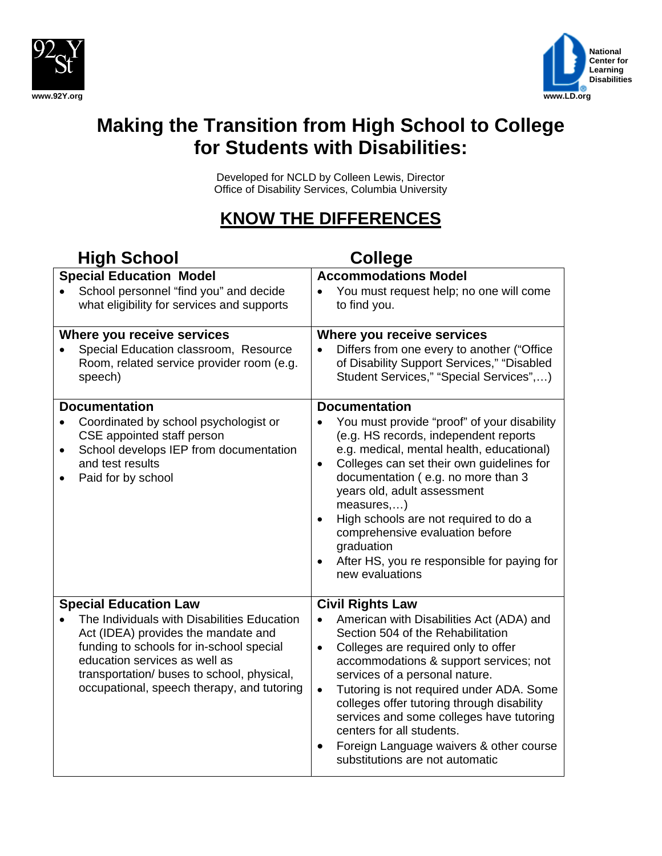



# **Making the Transition from High School to College for Students with Disabilities:**

Developed for NCLD by Colleen Lewis, Director Office of Disability Services, Columbia University

## **KNOW THE DIFFERENCES**

| <b>High School</b>                                                                                                                                                                                                                                                                          | <b>College</b>                                                                                                                                                                                                                                                                                                                                                                                                                                                                                         |
|---------------------------------------------------------------------------------------------------------------------------------------------------------------------------------------------------------------------------------------------------------------------------------------------|--------------------------------------------------------------------------------------------------------------------------------------------------------------------------------------------------------------------------------------------------------------------------------------------------------------------------------------------------------------------------------------------------------------------------------------------------------------------------------------------------------|
| <b>Special Education Model</b><br>School personnel "find you" and decide                                                                                                                                                                                                                    | <b>Accommodations Model</b><br>You must request help; no one will come                                                                                                                                                                                                                                                                                                                                                                                                                                 |
| what eligibility for services and supports                                                                                                                                                                                                                                                  | to find you.                                                                                                                                                                                                                                                                                                                                                                                                                                                                                           |
| Where you receive services<br>Special Education classroom, Resource<br>Room, related service provider room (e.g.<br>speech)                                                                                                                                                                 | Where you receive services<br>Differs from one every to another ("Office<br>$\bullet$<br>of Disability Support Services," "Disabled<br>Student Services," "Special Services",)                                                                                                                                                                                                                                                                                                                         |
| <b>Documentation</b><br>Coordinated by school psychologist or<br>CSE appointed staff person<br>School develops IEP from documentation<br>٠<br>and test results<br>Paid for by school                                                                                                        | <b>Documentation</b><br>You must provide "proof" of your disability<br>(e.g. HS records, independent reports<br>e.g. medical, mental health, educational)<br>Colleges can set their own guidelines for<br>$\bullet$<br>documentation (e.g. no more than 3<br>years old, adult assessment<br>measures,)<br>High schools are not required to do a<br>comprehensive evaluation before<br>graduation<br>After HS, you re responsible for paying for<br>new evaluations                                     |
| <b>Special Education Law</b><br>The Individuals with Disabilities Education<br>Act (IDEA) provides the mandate and<br>funding to schools for in-school special<br>education services as well as<br>transportation/ buses to school, physical,<br>occupational, speech therapy, and tutoring | <b>Civil Rights Law</b><br>American with Disabilities Act (ADA) and<br>Section 504 of the Rehabilitation<br>Colleges are required only to offer<br>$\bullet$<br>accommodations & support services; not<br>services of a personal nature.<br>Tutoring is not required under ADA. Some<br>$\bullet$<br>colleges offer tutoring through disability<br>services and some colleges have tutoring<br>centers for all students.<br>Foreign Language waivers & other course<br>substitutions are not automatic |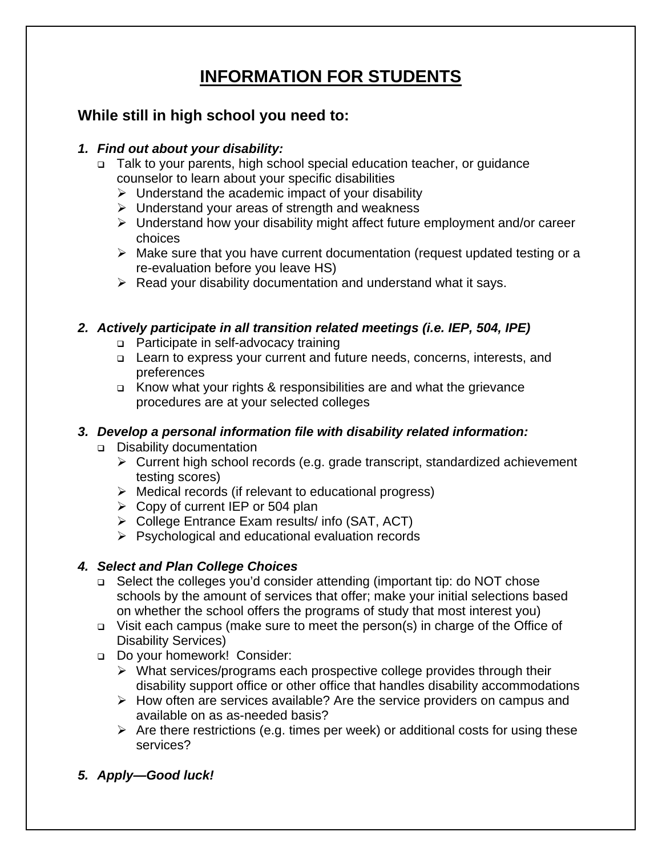## **INFORMATION FOR STUDENTS**

### **While still in high school you need to:**

### *1. Find out about your disability:*

- □ Talk to your parents, high school special education teacher, or guidance counselor to learn about your specific disabilities
	- $\triangleright$  Understand the academic impact of your disability
	- $\triangleright$  Understand your areas of strength and weakness
	- $\triangleright$  Understand how your disability might affect future employment and/or career choices
	- $\triangleright$  Make sure that you have current documentation (request updated testing or a re-evaluation before you leave HS)
	- $\triangleright$  Read your disability documentation and understand what it says.

### *2. Actively participate in all transition related meetings (i.e. IEP, 504, IPE)*

- □ Participate in self-advocacy training
- Learn to express your current and future needs, concerns, interests, and preferences
- Know what your rights & responsibilities are and what the grievance procedures are at your selected colleges

### *3. Develop a personal information file with disability related information:*

- **Disability documentation** 
	- ¾ Current high school records (e.g. grade transcript, standardized achievement testing scores)
	- $\triangleright$  Medical records (if relevant to educational progress)
	- $\geq$  Copy of current IEP or 504 plan
	- $\triangleright$  College Entrance Exam results/ info (SAT, ACT)
	- $\triangleright$  Psychological and educational evaluation records

### *4. Select and Plan College Choices*

- □ Select the colleges you'd consider attending (important tip: do NOT chose schools by the amount of services that offer; make your initial selections based on whether the school offers the programs of study that most interest you)
- $\Box$  Visit each campus (make sure to meet the person(s) in charge of the Office of Disability Services)
- Do your homework! Consider:
	- $\triangleright$  What services/programs each prospective college provides through their disability support office or other office that handles disability accommodations
	- $\triangleright$  How often are services available? Are the service providers on campus and available on as as-needed basis?
	- $\triangleright$  Are there restrictions (e.g. times per week) or additional costs for using these services?
- *5. Apply—Good luck!*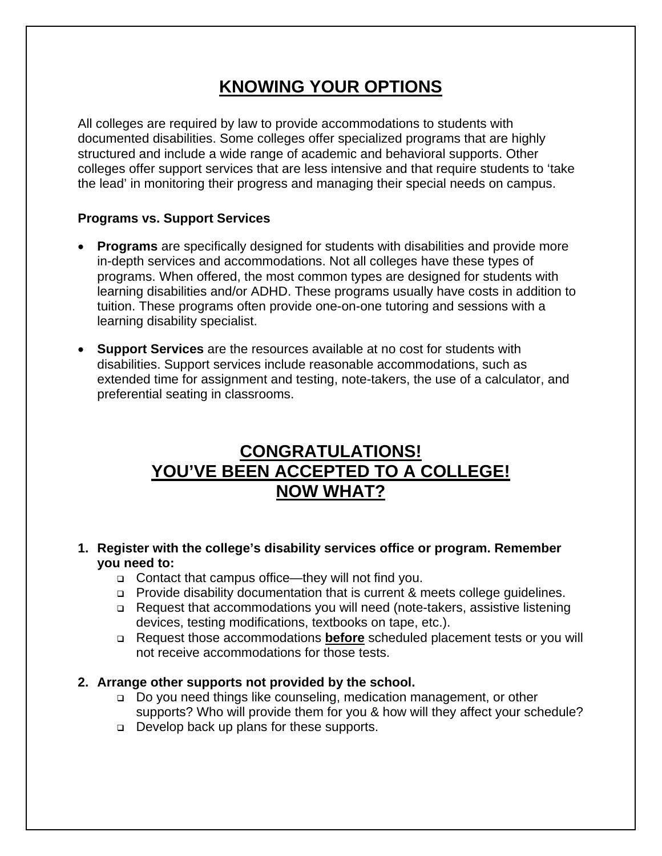## **KNOWING YOUR OPTIONS**

All colleges are required by law to provide accommodations to students with documented disabilities. Some colleges offer specialized programs that are highly structured and include a wide range of academic and behavioral supports. Other colleges offer support services that are less intensive and that require students to 'take the lead' in monitoring their progress and managing their special needs on campus.

#### **Programs vs. Support Services**

- **Programs** are specifically designed for students with disabilities and provide more in-depth services and accommodations. Not all colleges have these types of programs. When offered, the most common types are designed for students with learning disabilities and/or ADHD. These programs usually have costs in addition to tuition. These programs often provide one-on-one tutoring and sessions with a learning disability specialist.
- **Support Services** are the resources available at no cost for students with disabilities. Support services include reasonable accommodations, such as extended time for assignment and testing, note-takers, the use of a calculator, and preferential seating in classrooms.

### **CONGRATULATIONS! YOU'VE BEEN ACCEPTED TO A COLLEGE! NOW WHAT?**

- **1. Register with the college's disability services office or program. Remember you need to:** 
	- Contact that campus office—they will not find you.
	- □ Provide disability documentation that is current & meets college guidelines.
	- □ Request that accommodations you will need (note-takers, assistive listening devices, testing modifications, textbooks on tape, etc.).
	- Request those accommodations **before** scheduled placement tests or you will not receive accommodations for those tests.

#### **2. Arrange other supports not provided by the school.**

- □ Do you need things like counseling, medication management, or other supports? Who will provide them for you & how will they affect your schedule?
- Develop back up plans for these supports.